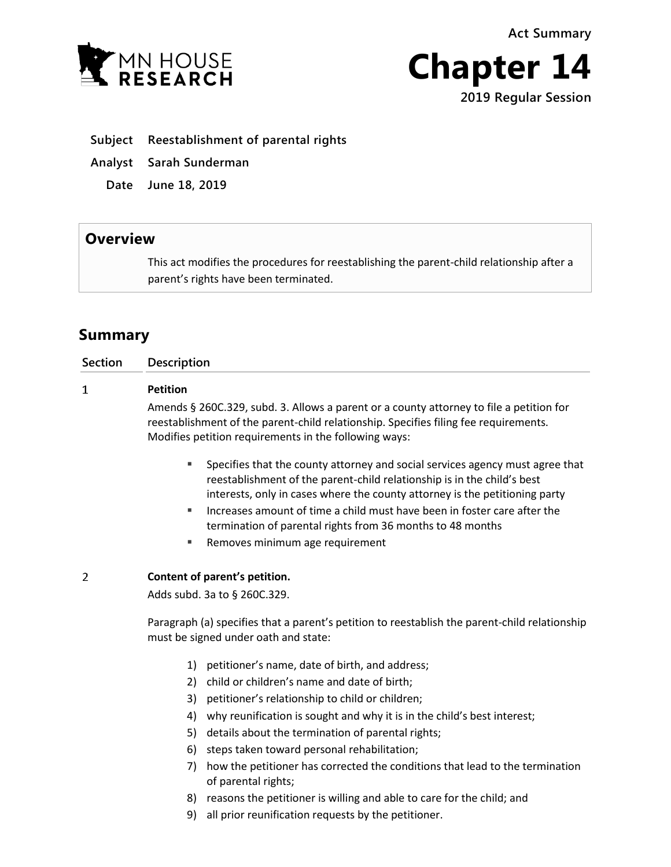**Act Summary**





**Subject Reestablishment of parental rights**

- **Analyst Sarah Sunderman**
	- **Date June 18, 2019**

## **Overview**

This act modifies the procedures for reestablishing the parent-child relationship after a parent's rights have been terminated.

# **Summary**

| <b>Section</b> | <b>Description</b>                                                                                                                                                                                                                           |
|----------------|----------------------------------------------------------------------------------------------------------------------------------------------------------------------------------------------------------------------------------------------|
| 1              | <b>Petition</b>                                                                                                                                                                                                                              |
|                | Amends § 260C.329, subd. 3. Allows a parent or a county attorney to file a petition for<br>reestablishment of the parent-child relationship. Specifies filing fee requirements.<br>Modifies petition requirements in the following ways:     |
|                | Specifies that the county attorney and social services agency must agree that<br>п<br>reestablishment of the parent-child relationship is in the child's best<br>interests, only in cases where the county attorney is the petitioning party |
|                | Increases amount of time a child must have been in foster care after the<br>٠<br>termination of parental rights from 36 months to 48 months                                                                                                  |
|                | Removes minimum age requirement<br>ш                                                                                                                                                                                                         |
| 2              | Content of parent's petition.                                                                                                                                                                                                                |
|                | Adds subd. 3a to § 260C.329.                                                                                                                                                                                                                 |
|                | Paragraph (a) specifies that a parent's petition to reestablish the parent-child relationship<br>must be signed under oath and state:                                                                                                        |
|                | petitioner's name, date of birth, and address;<br>1)<br>child or children's name and date of birth;<br>2)                                                                                                                                    |

- 3) petitioner's relationship to child or children;
- 4) why reunification is sought and why it is in the child's best interest;
- 5) details about the termination of parental rights;
- 6) steps taken toward personal rehabilitation;
- 7) how the petitioner has corrected the conditions that lead to the termination of parental rights;
- 8) reasons the petitioner is willing and able to care for the child; and
- 9) all prior reunification requests by the petitioner.